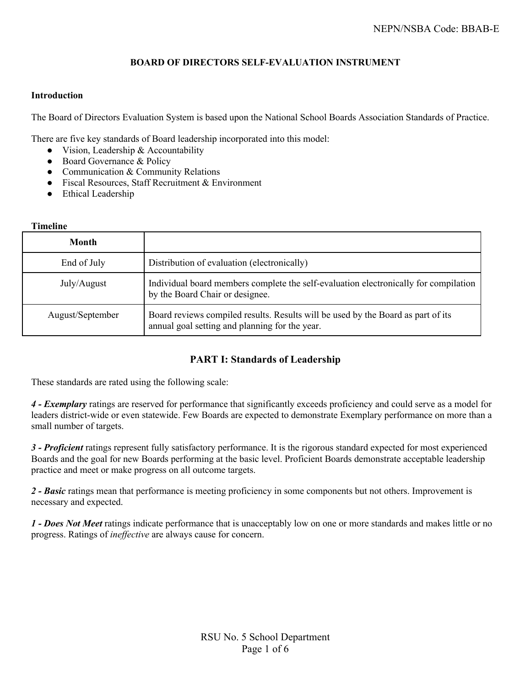### **BOARD OF DIRECTORS SELF-EVALUATION INSTRUMENT**

#### **Introduction**

The Board of Directors Evaluation System is based upon the National School Boards Association Standards of Practice.

There are five key standards of Board leadership incorporated into this model:

- Vision, Leadership & Accountability
- Board Governance & Policy
- Communication & Community Relations
- Fiscal Resources, Staff Recruitment & Environment
- Ethical Leadership

#### **Timeline**

| Month            |                                                                                                                                    |
|------------------|------------------------------------------------------------------------------------------------------------------------------------|
| End of July      | Distribution of evaluation (electronically)                                                                                        |
| July/August      | Individual board members complete the self-evaluation electronically for compilation<br>by the Board Chair or designee.            |
| August/September | Board reviews compiled results. Results will be used by the Board as part of its<br>annual goal setting and planning for the year. |

## **PART I: Standards of Leadership**

These standards are rated using the following scale:

*4 - Exemplary* ratings are reserved for performance that significantly exceeds proficiency and could serve as a model for leaders district-wide or even statewide. Few Boards are expected to demonstrate Exemplary performance on more than a small number of targets.

*3 - Proficient* ratings represent fully satisfactory performance. It is the rigorous standard expected for most experienced Boards and the goal for new Boards performing at the basic level. Proficient Boards demonstrate acceptable leadership practice and meet or make progress on all outcome targets.

*2 - Basic* ratings mean that performance is meeting proficiency in some components but not others. Improvement is necessary and expected.

*1 - Does Not Meet* ratings indicate performance that is unacceptably low on one or more standards and makes little or no progress. Ratings of *ineffective* are always cause for concern.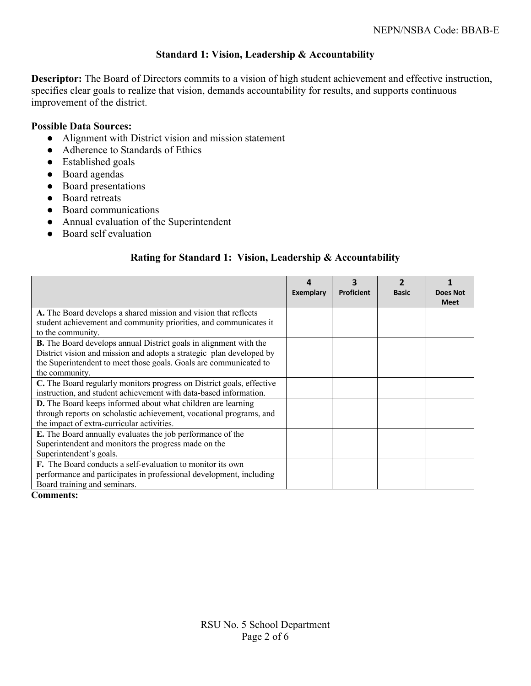## **Standard 1: Vision, Leadership & Accountability**

**Descriptor:** The Board of Directors commits to a vision of high student achievement and effective instruction, specifies clear goals to realize that vision, demands accountability for results, and supports continuous improvement of the district.

### **Possible Data Sources:**

- Alignment with District vision and mission statement
- Adherence to Standards of Ethics
- Established goals
- Board agendas
- Board presentations
- Board retreats
- Board communications
- Annual evaluation of the Superintendent
- Board self evaluation

## **Rating for Standard 1: Vision, Leadership & Accountability**

|                                                                                        | Exemplary | 3<br><b>Proficient</b> | <b>Basic</b> | <b>Does Not</b><br><b>Meet</b> |
|----------------------------------------------------------------------------------------|-----------|------------------------|--------------|--------------------------------|
| A. The Board develops a shared mission and vision that reflects                        |           |                        |              |                                |
| student achievement and community priorities, and communicates it<br>to the community. |           |                        |              |                                |
| <b>B.</b> The Board develops annual District goals in alignment with the               |           |                        |              |                                |
| District vision and mission and adopts a strategic plan developed by                   |           |                        |              |                                |
| the Superintendent to meet those goals. Goals are communicated to                      |           |                        |              |                                |
| the community.                                                                         |           |                        |              |                                |
| C. The Board regularly monitors progress on District goals, effective                  |           |                        |              |                                |
| instruction, and student achievement with data-based information.                      |           |                        |              |                                |
| D. The Board keeps informed about what children are learning                           |           |                        |              |                                |
| through reports on scholastic achievement, vocational programs, and                    |           |                        |              |                                |
| the impact of extra-curricular activities.                                             |           |                        |              |                                |
| E. The Board annually evaluates the job performance of the                             |           |                        |              |                                |
| Superintendent and monitors the progress made on the                                   |           |                        |              |                                |
| Superintendent's goals.                                                                |           |                        |              |                                |
| <b>F.</b> The Board conducts a self-evaluation to monitor its own                      |           |                        |              |                                |
| performance and participates in professional development, including                    |           |                        |              |                                |
| Board training and seminars.                                                           |           |                        |              |                                |

#### **Comments:**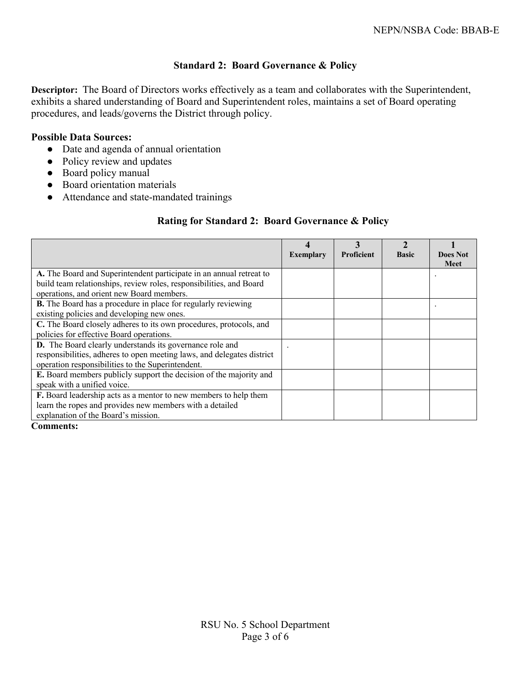## **Standard 2: Board Governance & Policy**

**Descriptor:** The Board of Directors works effectively as a team and collaborates with the Superintendent, exhibits a shared understanding of Board and Superintendent roles, maintains a set of Board operating procedures, and leads/governs the District through policy.

### **Possible Data Sources:**

- Date and agenda of annual orientation
- Policy review and updates
- Board policy manual
- Board orientation materials
- Attendance and state-mandated trainings

## **Rating for Standard 2: Board Governance & Policy**

|                                                                        | <b>Exemplary</b> | <b>Proficient</b> | <b>Basic</b> | <b>Does Not</b><br><b>Meet</b> |
|------------------------------------------------------------------------|------------------|-------------------|--------------|--------------------------------|
| A. The Board and Superintendent participate in an annual retreat to    |                  |                   |              |                                |
| build team relationships, review roles, responsibilities, and Board    |                  |                   |              |                                |
| operations, and orient new Board members.                              |                  |                   |              |                                |
| <b>B.</b> The Board has a procedure in place for regularly reviewing   |                  |                   |              |                                |
| existing policies and developing new ones.                             |                  |                   |              |                                |
| C. The Board closely adheres to its own procedures, protocols, and     |                  |                   |              |                                |
| policies for effective Board operations.                               |                  |                   |              |                                |
| D. The Board clearly understands its governance role and               |                  |                   |              |                                |
| responsibilities, adheres to open meeting laws, and delegates district |                  |                   |              |                                |
| operation responsibilities to the Superintendent.                      |                  |                   |              |                                |
| E. Board members publicly support the decision of the majority and     |                  |                   |              |                                |
| speak with a unified voice.                                            |                  |                   |              |                                |
| F. Board leadership acts as a mentor to new members to help them       |                  |                   |              |                                |
| learn the ropes and provides new members with a detailed               |                  |                   |              |                                |
| explanation of the Board's mission.                                    |                  |                   |              |                                |

#### **Comments:**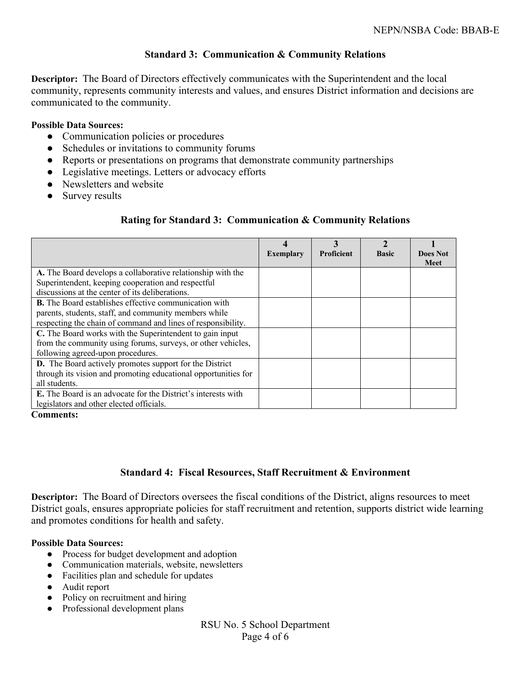## **Standard 3: Communication & Community Relations**

**Descriptor:** The Board of Directors effectively communicates with the Superintendent and the local community, represents community interests and values, and ensures District information and decisions are communicated to the community.

#### **Possible Data Sources:**

- Communication policies or procedures
- Schedules or invitations to community forums
- Reports or presentations on programs that demonstrate community partnerships
- Legislative meetings. Letters or advocacy efforts
- Newsletters and website
- Survey results

## **Rating for Standard 3: Communication & Community Relations**

|                                                                      | 4<br><b>Exemplary</b> | 3<br><b>Proficient</b> | <b>Basic</b> | <b>Does Not</b><br><b>Meet</b> |
|----------------------------------------------------------------------|-----------------------|------------------------|--------------|--------------------------------|
| A. The Board develops a collaborative relationship with the          |                       |                        |              |                                |
| Superintendent, keeping cooperation and respectful                   |                       |                        |              |                                |
| discussions at the center of its deliberations.                      |                       |                        |              |                                |
| <b>B.</b> The Board establishes effective communication with         |                       |                        |              |                                |
| parents, students, staff, and community members while                |                       |                        |              |                                |
| respecting the chain of command and lines of responsibility.         |                       |                        |              |                                |
| C. The Board works with the Superintendent to gain input             |                       |                        |              |                                |
| from the community using forums, surveys, or other vehicles,         |                       |                        |              |                                |
| following agreed-upon procedures.                                    |                       |                        |              |                                |
| <b>D.</b> The Board actively promotes support for the District       |                       |                        |              |                                |
| through its vision and promoting educational opportunities for       |                       |                        |              |                                |
| all students.                                                        |                       |                        |              |                                |
| <b>E.</b> The Board is an advocate for the District's interests with |                       |                        |              |                                |
| legislators and other elected officials.                             |                       |                        |              |                                |

**Comments:** 

## **Standard 4: Fiscal Resources, Staff Recruitment & Environment**

**Descriptor:** The Board of Directors oversees the fiscal conditions of the District, aligns resources to meet District goals, ensures appropriate policies for staff recruitment and retention, supports district wide learning and promotes conditions for health and safety.

#### **Possible Data Sources:**

- Process for budget development and adoption
- Communication materials, website, newsletters
- Facilities plan and schedule for updates
- Audit report
- Policy on recruitment and hiring
- Professional development plans

RSU No. 5 School Department Page 4 of 6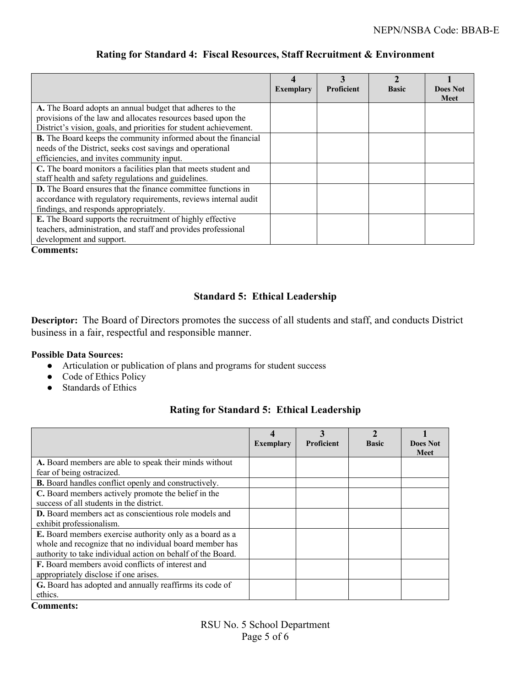|                                                                      |                  | 3                 |              |                                |
|----------------------------------------------------------------------|------------------|-------------------|--------------|--------------------------------|
|                                                                      | <b>Exemplary</b> | <b>Proficient</b> | <b>Basic</b> | <b>Does Not</b><br><b>Meet</b> |
| A. The Board adopts an annual budget that adheres to the             |                  |                   |              |                                |
| provisions of the law and allocates resources based upon the         |                  |                   |              |                                |
| District's vision, goals, and priorities for student achievement.    |                  |                   |              |                                |
| <b>B.</b> The Board keeps the community informed about the financial |                  |                   |              |                                |
| needs of the District, seeks cost savings and operational            |                  |                   |              |                                |
| efficiencies, and invites community input.                           |                  |                   |              |                                |
| C. The board monitors a facilities plan that meets student and       |                  |                   |              |                                |
| staff health and safety regulations and guidelines.                  |                  |                   |              |                                |
| <b>D.</b> The Board ensures that the finance committee functions in  |                  |                   |              |                                |
| accordance with regulatory requirements, reviews internal audit      |                  |                   |              |                                |
| findings, and responds appropriately.                                |                  |                   |              |                                |
| E. The Board supports the recruitment of highly effective            |                  |                   |              |                                |
| teachers, administration, and staff and provides professional        |                  |                   |              |                                |
| development and support.                                             |                  |                   |              |                                |

## **Rating for Standard 4: Fiscal Resources, Staff Recruitment & Environment**

**Comments:** 

# **Standard 5: Ethical Leadership**

**Descriptor:** The Board of Directors promotes the success of all students and staff, and conducts District business in a fair, respectful and responsible manner.

#### **Possible Data Sources:**

- Articulation or publication of plans and programs for student success
- Code of Ethics Policy
- Standards of Ethics

# **Rating for Standard 5: Ethical Leadership**

|                                                             | <b>Exemplary</b> | 3<br><b>Proficient</b> | <b>Basic</b> | <b>Does Not</b><br><b>Meet</b> |
|-------------------------------------------------------------|------------------|------------------------|--------------|--------------------------------|
| A. Board members are able to speak their minds without      |                  |                        |              |                                |
| fear of being ostracized.                                   |                  |                        |              |                                |
| <b>B.</b> Board handles conflict openly and constructively. |                  |                        |              |                                |
| C. Board members actively promote the belief in the         |                  |                        |              |                                |
| success of all students in the district.                    |                  |                        |              |                                |
| D. Board members act as conscientious role models and       |                  |                        |              |                                |
| exhibit professionalism.                                    |                  |                        |              |                                |
| E. Board members exercise authority only as a board as a    |                  |                        |              |                                |
| whole and recognize that no individual board member has     |                  |                        |              |                                |
| authority to take individual action on behalf of the Board. |                  |                        |              |                                |
| <b>F.</b> Board members avoid conflicts of interest and     |                  |                        |              |                                |
| appropriately disclose if one arises.                       |                  |                        |              |                                |
| G. Board has adopted and annually reaffirms its code of     |                  |                        |              |                                |
| ethics.                                                     |                  |                        |              |                                |

### **Comments:**